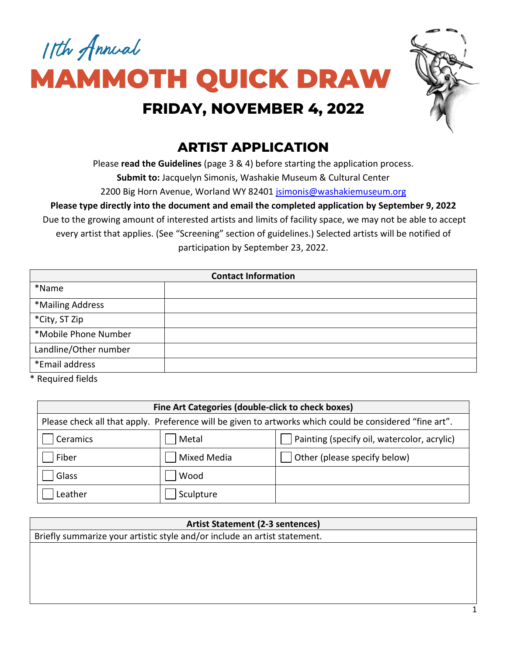



# **ARTIST APPLICATION**

Please **read the Guidelines** (page 3 & 4) before starting the application process. **Submit to:** Jacquelyn Simonis, Washakie Museum & Cultural Center

2200 Big Horn Avenue, Worland WY 82401 [jsimonis@washakiemuseum.org](mailto:jsimonis@washakiemuseum.org)

**Please type directly into the document and email the completed application by September 9, 2022**

Due to the growing amount of interested artists and limits of facility space, we may not be able to accept every artist that applies. (See "Screening" section of guidelines.) Selected artists will be notified of participation by September 23, 2022.

| <b>Contact Information</b> |  |  |
|----------------------------|--|--|
| *Name                      |  |  |
| *Mailing Address           |  |  |
| *City, ST Zip              |  |  |
| *Mobile Phone Number       |  |  |
| Landline/Other number      |  |  |
| *Email address             |  |  |

\* Required fields

| Fine Art Categories (double-click to check boxes)                                                       |                    |                                             |  |  |
|---------------------------------------------------------------------------------------------------------|--------------------|---------------------------------------------|--|--|
| Please check all that apply. Preference will be given to artworks which could be considered "fine art". |                    |                                             |  |  |
| Ceramics                                                                                                | Metal              | Painting (specify oil, watercolor, acrylic) |  |  |
| Fiber                                                                                                   | <b>Mixed Media</b> | Other (please specify below)                |  |  |
| Glass                                                                                                   | Wood               |                                             |  |  |
| Leather                                                                                                 | Sculpture          |                                             |  |  |

| <b>Artist Statement (2-3 sentences)</b>                                   |
|---------------------------------------------------------------------------|
| Briefly summarize your artistic style and/or include an artist statement. |
|                                                                           |
|                                                                           |
|                                                                           |
|                                                                           |
|                                                                           |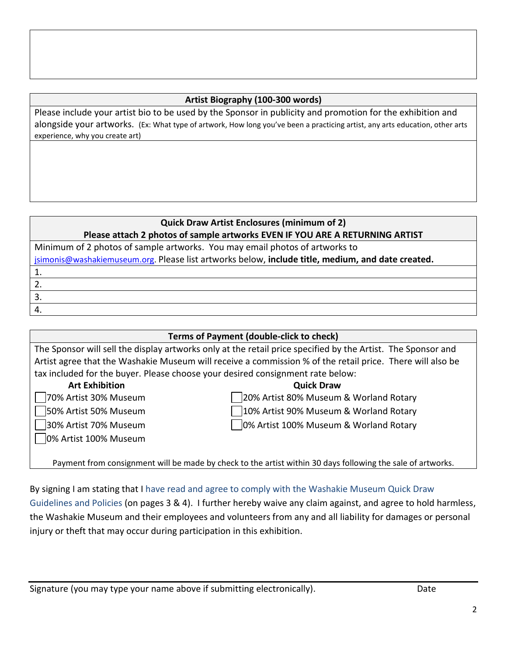#### **Artist Biography (100-300 words)**

Please include your artist bio to be used by the Sponsor in publicity and promotion for the exhibition and alongside your artworks. (Ex: What type of artwork, How long you've been a practicing artist, any arts education, other arts experience, why you create art)

#### **Quick Draw Artist Enclosures (minimum of 2) Please attach 2 photos of sample artworks EVEN IF YOU ARE A RETURNING ARTIST**

Minimum of 2 photos of sample artworks. You may email photos of artworks to [jsimonis@washakiemuseum.org.](mailto:jsimonis@washakiemuseum.org) Please list artworks below, **include title, medium, and date created.** 1. 2. 3.

**Terms of Payment (double-click to check)** The Sponsor will sell the display artworks only at the retail price specified by the Artist. The Sponsor and Artist agree that the Washakie Museum will receive a commission % of the retail price. There will also be tax included for the buyer. Please choose your desired consignment rate below:  **Art Exhibition Quick Draw** 70% Artist 30% Museum 20% Artist 80% Museum & Worland Rotary 50% Artist 50% Museum 10% Artist 90% Museum & Worland Rotary 30% Artist 70% Museum 0% Artist 100% Museum & Worland Rotary 0% Artist 100% Museum

Payment from consignment will be made by check to the artist within 30 days following the sale of artworks.

By signing I am stating that I have read and agree to comply with the Washakie Museum Quick Draw Guidelines and Policies (on pages 3 & 4). I further hereby waive any claim against, and agree to hold harmless, the Washakie Museum and their employees and volunteers from any and all liability for damages or personal injury or theft that may occur during participation in this exhibition.

4.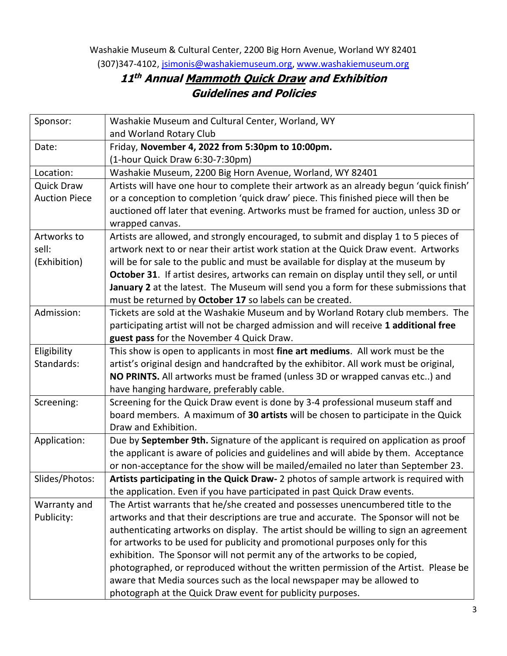Washakie Museum & Cultural Center, 2200 Big Horn Avenue, Worland WY 82401 (307)347-4102, [jsimonis@washakiemuseum.org,](mailto:jsimonis@washakiemuseum.org) [www.washakiemuseum.org](http://www.washakiemuseum.org/)

## **11 th Annual Mammoth Quick Draw and Exhibition Guidelines and Policies**

| Sponsor:             | Washakie Museum and Cultural Center, Worland, WY                                        |
|----------------------|-----------------------------------------------------------------------------------------|
|                      | and Worland Rotary Club                                                                 |
| Date:                | Friday, November 4, 2022 from 5:30pm to 10:00pm.                                        |
|                      | (1-hour Quick Draw 6:30-7:30pm)                                                         |
| Location:            | Washakie Museum, 2200 Big Horn Avenue, Worland, WY 82401                                |
| <b>Quick Draw</b>    | Artists will have one hour to complete their artwork as an already begun 'quick finish' |
| <b>Auction Piece</b> | or a conception to completion 'quick draw' piece. This finished piece will then be      |
|                      | auctioned off later that evening. Artworks must be framed for auction, unless 3D or     |
|                      | wrapped canvas.                                                                         |
| Artworks to          | Artists are allowed, and strongly encouraged, to submit and display 1 to 5 pieces of    |
| sell:                | artwork next to or near their artist work station at the Quick Draw event. Artworks     |
| (Exhibition)         | will be for sale to the public and must be available for display at the museum by       |
|                      | October 31. If artist desires, artworks can remain on display until they sell, or until |
|                      | January 2 at the latest. The Museum will send you a form for these submissions that     |
|                      | must be returned by October 17 so labels can be created.                                |
| Admission:           | Tickets are sold at the Washakie Museum and by Worland Rotary club members. The         |
|                      | participating artist will not be charged admission and will receive 1 additional free   |
|                      | guest pass for the November 4 Quick Draw.                                               |
| Eligibility          | This show is open to applicants in most fine art mediums. All work must be the          |
| Standards:           | artist's original design and handcrafted by the exhibitor. All work must be original,   |
|                      | NO PRINTS. All artworks must be framed (unless 3D or wrapped canvas etc) and            |
|                      | have hanging hardware, preferably cable.                                                |
| Screening:           | Screening for the Quick Draw event is done by 3-4 professional museum staff and         |
|                      | board members. A maximum of 30 artists will be chosen to participate in the Quick       |
|                      | Draw and Exhibition.                                                                    |
| Application:         | Due by September 9th. Signature of the applicant is required on application as proof    |
|                      | the applicant is aware of policies and guidelines and will abide by them. Acceptance    |
|                      | or non-acceptance for the show will be mailed/emailed no later than September 23.       |
| Slides/Photos:       | Artists participating in the Quick Draw- 2 photos of sample artwork is required with    |
|                      | the application. Even if you have participated in past Quick Draw events.               |
| Warranty and         | The Artist warrants that he/she created and possesses unencumbered title to the         |
| Publicity:           | artworks and that their descriptions are true and accurate. The Sponsor will not be     |
|                      | authenticating artworks on display. The artist should be willing to sign an agreement   |
|                      | for artworks to be used for publicity and promotional purposes only for this            |
|                      | exhibition. The Sponsor will not permit any of the artworks to be copied,               |
|                      | photographed, or reproduced without the written permission of the Artist. Please be     |
|                      | aware that Media sources such as the local newspaper may be allowed to                  |
|                      | photograph at the Quick Draw event for publicity purposes.                              |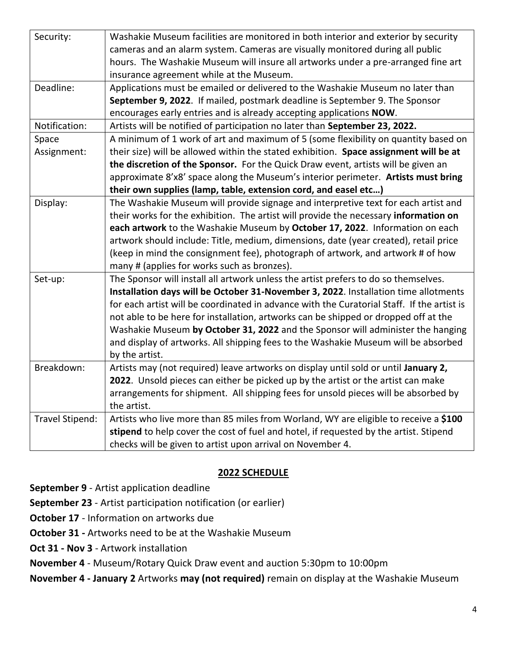| Security:       | Washakie Museum facilities are monitored in both interior and exterior by security         |
|-----------------|--------------------------------------------------------------------------------------------|
|                 | cameras and an alarm system. Cameras are visually monitored during all public              |
|                 | hours. The Washakie Museum will insure all artworks under a pre-arranged fine art          |
|                 | insurance agreement while at the Museum.                                                   |
| Deadline:       | Applications must be emailed or delivered to the Washakie Museum no later than             |
|                 | September 9, 2022. If mailed, postmark deadline is September 9. The Sponsor                |
|                 | encourages early entries and is already accepting applications NOW.                        |
| Notification:   | Artists will be notified of participation no later than September 23, 2022.                |
| Space           | A minimum of 1 work of art and maximum of 5 (some flexibility on quantity based on         |
| Assignment:     | their size) will be allowed within the stated exhibition. Space assignment will be at      |
|                 | the discretion of the Sponsor. For the Quick Draw event, artists will be given an          |
|                 | approximate 8'x8' space along the Museum's interior perimeter. Artists must bring          |
|                 | their own supplies (lamp, table, extension cord, and easel etc)                            |
| Display:        | The Washakie Museum will provide signage and interpretive text for each artist and         |
|                 | their works for the exhibition. The artist will provide the necessary information on       |
|                 | each artwork to the Washakie Museum by October 17, 2022. Information on each               |
|                 | artwork should include: Title, medium, dimensions, date (year created), retail price       |
|                 | (keep in mind the consignment fee), photograph of artwork, and artwork # of how            |
|                 | many # (applies for works such as bronzes).                                                |
| Set-up:         | The Sponsor will install all artwork unless the artist prefers to do so themselves.        |
|                 | Installation days will be October 31-November 3, 2022. Installation time allotments        |
|                 | for each artist will be coordinated in advance with the Curatorial Staff. If the artist is |
|                 | not able to be here for installation, artworks can be shipped or dropped off at the        |
|                 | Washakie Museum by October 31, 2022 and the Sponsor will administer the hanging            |
|                 | and display of artworks. All shipping fees to the Washakie Museum will be absorbed         |
|                 | by the artist.                                                                             |
| Breakdown:      | Artists may (not required) leave artworks on display until sold or until January 2,        |
|                 | 2022. Unsold pieces can either be picked up by the artist or the artist can make           |
|                 | arrangements for shipment. All shipping fees for unsold pieces will be absorbed by         |
|                 | the artist.                                                                                |
| Travel Stipend: | Artists who live more than 85 miles from Worland, WY are eligible to receive a \$100       |
|                 | stipend to help cover the cost of fuel and hotel, if requested by the artist. Stipend      |
|                 | checks will be given to artist upon arrival on November 4.                                 |

### **2022 SCHEDULE**

**September 9** - Artist application deadline

**September 23** - Artist participation notification (or earlier)

**October 17** - Information on artworks due

**October 31 -** Artworks need to be at the Washakie Museum

**Oct 31 - Nov 3** - Artwork installation

**November 4** - Museum/Rotary Quick Draw event and auction 5:30pm to 10:00pm

**November 4 - January 2** Artworks **may (not required)** remain on display at the Washakie Museum